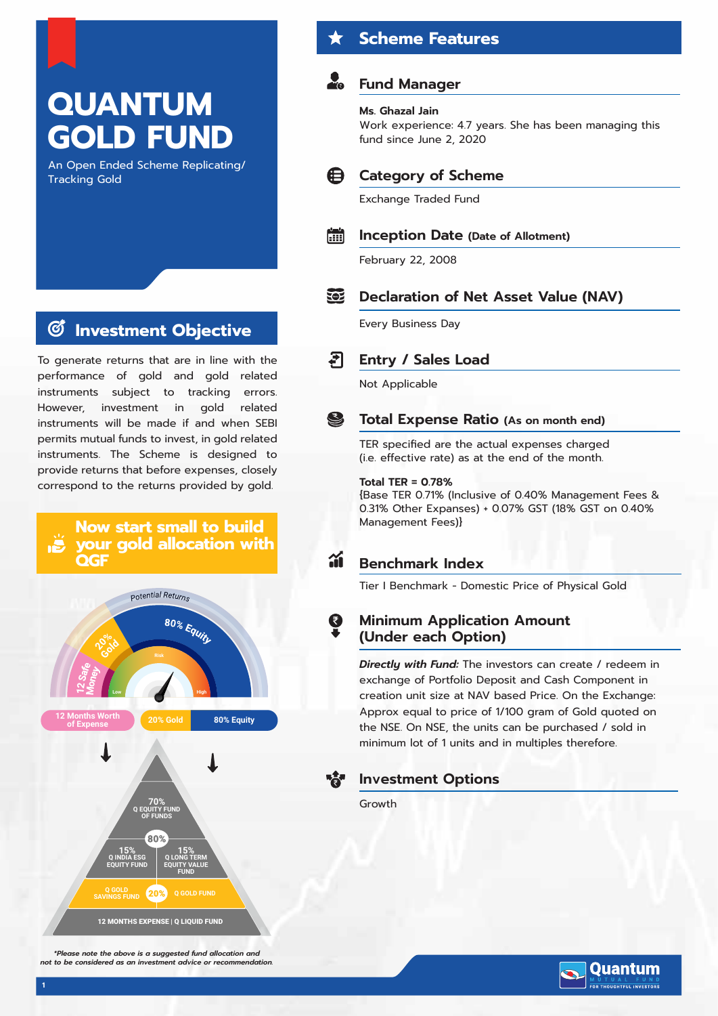# **QUANTUM GOLD FUND**

An Open Ended Scheme Replicating/ Tracking Gold

#### **Investment Objective**  $\mathcal{C}$

To generate returns that are in line with the performance of gold and gold related instruments subject to tracking errors. However, investment in gold related instruments will be made if and when SEBI permits mutual funds to invest, in gold related instruments. The Scheme is designed to provide returns that before expenses, closely correspond to the returns provided by gold.



*\*Please note the above is a suggested fund allocation and not to be considered as an investment advice or recommendation.*

## **Scheme Features**

## **Fund Manager**

#### **Ms. Ghazal Jain**

Work experience: 4.7 years. She has been managing this fund since June 2, 2020



## **Category of Scheme**

Exchange Traded Fund

#### H **Inception Date (Date of Allotment)**

February 22, 2008

#### 562 **Declaration of Net Asset Value (NAV)**

Every Business Day

#### ₹⊺ **Entry / Sales Load**

Not Applicable

#### $\mathbf{S}$ **Total Expense Ratio (As on month end)**

TER specified are the actual expenses charged (i.e. effective rate) as at the end of the month.

### **Total TER = 0.78%**

{Base TER 0.71% (Inclusive of 0.40% Management Fees & 0.31% Other Expanses) + 0.07% GST (18% GST on 0.40% Management Fees)}

#### áí **Benchmark Index**

Tier I Benchmark - Domestic Price of Physical Gold

## **Minimum Application Amount (Under each Option)**

*Directly with Fund:* The investors can create / redeem in exchange of Portfolio Deposit and Cash Component in creation unit size at NAV based Price. On the Exchange: Approx equal to price of 1/100 gram of Gold quoted on the NSE. On NSE, the units can be purchased / sold in minimum lot of 1 units and in multiples therefore.

## **Investment Options**

Growth

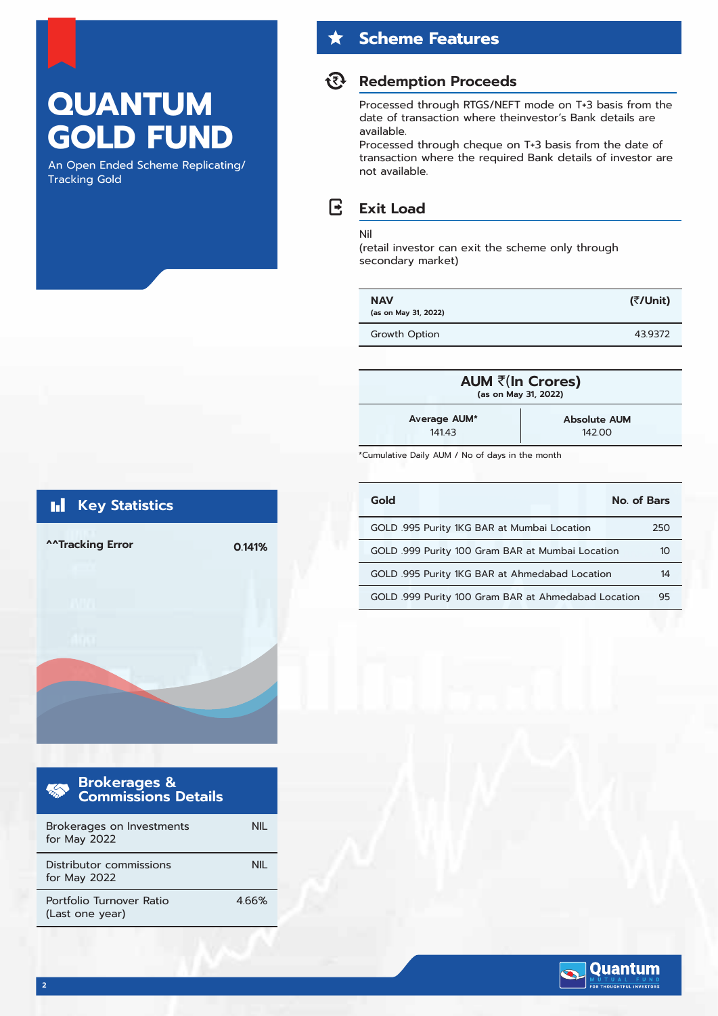## **QUANTUM GOLD FUND**

An Open Ended Scheme Replicating/ Tracking Gold

## **Scheme Features**

## **Redemption Proceeds**

Processed through RTGS/NEFT mode on T+3 basis from the date of transaction where theinvestor's Bank details are available.

Processed through cheque on T+3 basis from the date of transaction where the required Bank details of investor are not available.

#### R **Exit Load**

#### Nil

(retail investor can exit the scheme only through secondary market)

| <b>NAV</b><br>(as on May 31, 2022) | (₹/Unit) |
|------------------------------------|----------|
| Growth Option                      | 439372   |

| AUM ₹(In Crores)<br>(as on May 31, 2022) |                     |  |  |  |
|------------------------------------------|---------------------|--|--|--|
| Average AUM*                             | <b>Absolute AUM</b> |  |  |  |
| 14143                                    | 142.00              |  |  |  |

\*Cumulative Daily AUM / No of days in the month

| Gold                                                | No. of Bars |
|-----------------------------------------------------|-------------|
| GOLD .995 Purity 1KG BAR at Mumbai Location         | 250         |
| GOLD .999 Purity 100 Gram BAR at Mumbai Location    | 10          |
| GOLD .995 Purity 1KG BAR at Ahmedabad Location      | 14          |
| GOLD .999 Purity 100 Gram BAR at Ahmedabad Location | 95          |



| Brokerages &<br>Commissions Details         |      |
|---------------------------------------------|------|
| Brokerages on Investments<br>for May 2022   |      |
| Distributor commissions<br>for May 2022     |      |
| Portfolio Turnover Ratio<br>(Last one year) | 466% |

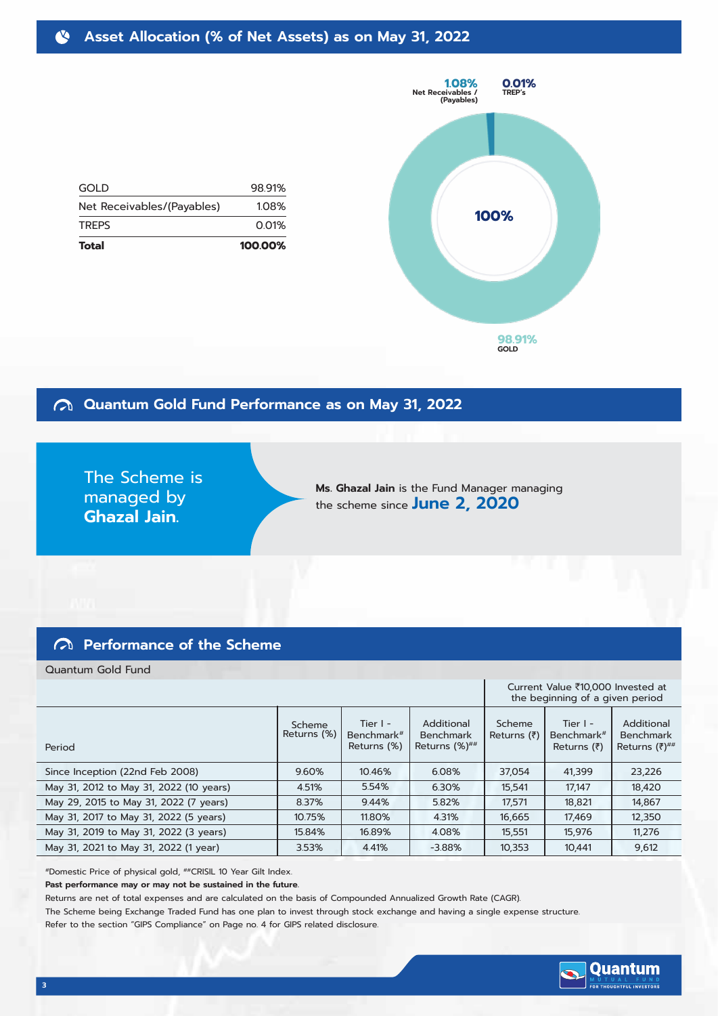#### **Asset Allocation (% of Net Assets) as on May 31, 2022** N

98.91% 1.08% 0.01%



## **Quantum Gold Fund Performance as on May 31, 2022**

The Scheme is managed by **Ghazal Jain.**

**Ms. Ghazal Jain** is the Fund Manager managing the scheme since **June 2, 2020**

GOLD

**TREPS** 

Net Receivables/(Payables)

**Total 100.00%**

## **Performance of the Scheme**

Quantum Gold Fund

|                                         |                       |                                                     |                                                 | Current Value ₹10,000 Invested at<br>the beginning of a given period |                                                             |                                                      |
|-----------------------------------------|-----------------------|-----------------------------------------------------|-------------------------------------------------|----------------------------------------------------------------------|-------------------------------------------------------------|------------------------------------------------------|
| Period                                  | Scheme<br>Returns (%) | Tier $I -$<br>Benchmark <sup>#</sup><br>Returns (%) | Additional<br><b>Benchmark</b><br>Returns (%)## | Scheme<br>Returns $(\bar{z})$                                        | Tier $I -$<br>Benchmark <sup>#</sup><br>Returns $(\bar{z})$ | Additional<br><b>Benchmark</b><br>Returns $(7)^{##}$ |
| Since Inception (22nd Feb 2008)         | 9.60%                 | 10.46%                                              | 6.08%                                           | 37,054                                                               | 41,399                                                      | 23,226                                               |
| May 31, 2012 to May 31, 2022 (10 years) | 4.51%                 | 5.54%                                               | 6.30%                                           | 15,541                                                               | 17,147                                                      | 18,420                                               |
| May 29, 2015 to May 31, 2022 (7 years)  | 8.37%                 | 9.44%                                               | 5.82%                                           | 17.571                                                               | 18,821                                                      | 14,867                                               |
| May 31, 2017 to May 31, 2022 (5 years)  | 10.75%                | 11.80%                                              | 4.31%                                           | 16,665                                                               | 17,469                                                      | 12,350                                               |
| May 31, 2019 to May 31, 2022 (3 years)  | 15.84%                | 16.89%                                              | 4.08%                                           | 15.551                                                               | 15.976                                                      | 11.276                                               |
| May 31, 2021 to May 31, 2022 (1 year)   | 3.53%                 | 4.41%                                               | $-3.88%$                                        | 10,353                                                               | 10,441                                                      | 9,612                                                |

#Domestic Price of physical gold, ##CRISIL 10 Year Gilt Index.

**Past performance may or may not be sustained in the future.**

Returns are net of total expenses and are calculated on the basis of Compounded Annualized Growth Rate (CAGR).

The Scheme being Exchange Traded Fund has one plan to invest through stock exchange and having a single expense structure.

Refer to the section "GIPS Compliance" on Page no. 4 for GIPS related disclosure.